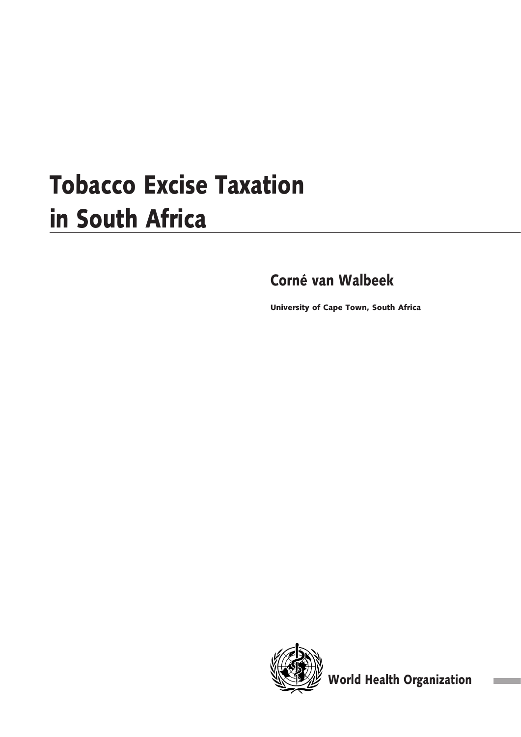# Tobacco Excise Taxation in South Africa

# Corné van Walbeek

University of Cape Town, South Africa



World Health Organization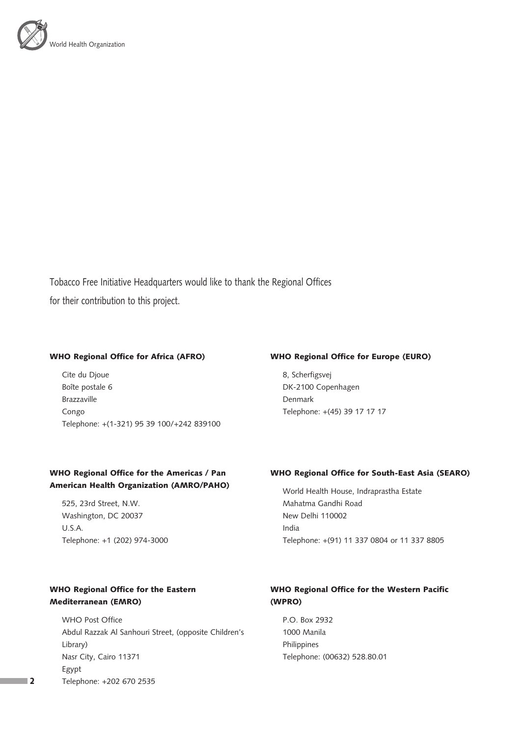

Tobacco Free Initiative Headquarters would like to thank the Regional Offices for their contribution to this project.

#### WHO Regional Office for Africa (AFRO)

Cite du Djoue Boîte postale 6 Brazzaville Congo Telephone: +(1-321) 95 39 100/+242 839100

## WHO Regional Office for Europe (EURO)

8, Scherfigsvej DK-2100 Copenhagen Denmark Telephone: +(45) 39 17 17 17

# WHO Regional Office for the Americas / Pan American Health Organization (AMRO/PAHO)

525, 23rd Street, N.W. Washington, DC 20037 U.S.A. Telephone: +1 (202) 974-3000

#### WHO Regional Office for South-East Asia (SEARO)

World Health House, Indraprastha Estate Mahatma Gandhi Road New Delhi 110002 India Telephone: +(91) 11 337 0804 or 11 337 8805

# WHO Regional Office for the Eastern Mediterranean (EMRO)

WHO Post Office Abdul Razzak Al Sanhouri Street, (opposite Children's Library) Nasr City, Cairo 11371 Egypt Telephone: +202 670 2535

# WHO Regional Office for the Western Pacific (WPRO)

P.O. Box 2932 1000 Manila Philippines Telephone: (00632) 528.80.01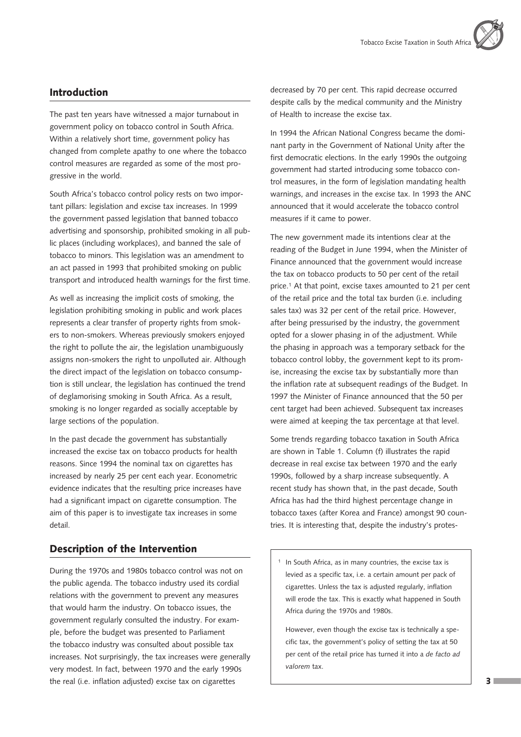# Introduction

The past ten years have witnessed a major turnabout in government policy on tobacco control in South Africa. Within a relatively short time, government policy has changed from complete apathy to one where the tobacco control measures are regarded as some of the most progressive in the world.

South Africa's tobacco control policy rests on two important pillars: legislation and excise tax increases. In 1999 the government passed legislation that banned tobacco advertising and sponsorship, prohibited smoking in all public places (including workplaces), and banned the sale of tobacco to minors. This legislation was an amendment to an act passed in 1993 that prohibited smoking on public transport and introduced health warnings for the first time.

As well as increasing the implicit costs of smoking, the legislation prohibiting smoking in public and work places represents a clear transfer of property rights from smokers to non-smokers. Whereas previously smokers enjoyed the right to pollute the air, the legislation unambiguously assigns non-smokers the right to unpolluted air. Although the direct impact of the legislation on tobacco consumption is still unclear, the legislation has continued the trend of deglamorising smoking in South Africa. As a result, smoking is no longer regarded as socially acceptable by large sections of the population.

In the past decade the government has substantially increased the excise tax on tobacco products for health reasons. Since 1994 the nominal tax on cigarettes has increased by nearly 25 per cent each year. Econometric evidence indicates that the resulting price increases have had a significant impact on cigarette consumption. The aim of this paper is to investigate tax increases in some detail.

# Description of the Intervention

During the 1970s and 1980s tobacco control was not on the public agenda. The tobacco industry used its cordial relations with the government to prevent any measures that would harm the industry. On tobacco issues, the government regularly consulted the industry. For example, before the budget was presented to Parliament the tobacco industry was consulted about possible tax increases. Not surprisingly, the tax increases were generally very modest. In fact, between 1970 and the early 1990s the real (i.e. inflation adjusted) excise tax on cigarettes

decreased by 70 per cent. This rapid decrease occurred despite calls by the medical community and the Ministry of Health to increase the excise tax.

In 1994 the African National Congress became the dominant party in the Government of National Unity after the first democratic elections. In the early 1990s the outgoing government had started introducing some tobacco control measures, in the form of legislation mandating health warnings, and increases in the excise tax. In 1993 the ANC announced that it would accelerate the tobacco control measures if it came to power.

The new government made its intentions clear at the reading of the Budget in June 1994, when the Minister of Finance announced that the government would increase the tax on tobacco products to 50 per cent of the retail price.1 At that point, excise taxes amounted to 21 per cent of the retail price and the total tax burden (i.e. including sales tax) was 32 per cent of the retail price. However, after being pressurised by the industry, the government opted for a slower phasing in of the adjustment. While the phasing in approach was a temporary setback for the tobacco control lobby, the government kept to its promise, increasing the excise tax by substantially more than the inflation rate at subsequent readings of the Budget. In 1997 the Minister of Finance announced that the 50 per cent target had been achieved. Subsequent tax increases were aimed at keeping the tax percentage at that level.

Some trends regarding tobacco taxation in South Africa are shown in Table 1. Column (f) illustrates the rapid decrease in real excise tax between 1970 and the early 1990s, followed by a sharp increase subsequently. A recent study has shown that, in the past decade, South Africa has had the third highest percentage change in tobacco taxes (after Korea and France) amongst 90 countries. It is interesting that, despite the industry's protes-

<sup>1</sup> In South Africa, as in many countries, the excise tax is levied as a specific tax, i.e. a certain amount per pack of cigarettes. Unless the tax is adjusted regularly, inflation will erode the tax. This is exactly what happened in South Africa during the 1970s and 1980s.

However, even though the excise tax is technically a specific tax, the government's policy of setting the tax at 50 per cent of the retail price has turned it into a *de facto ad valorem* tax.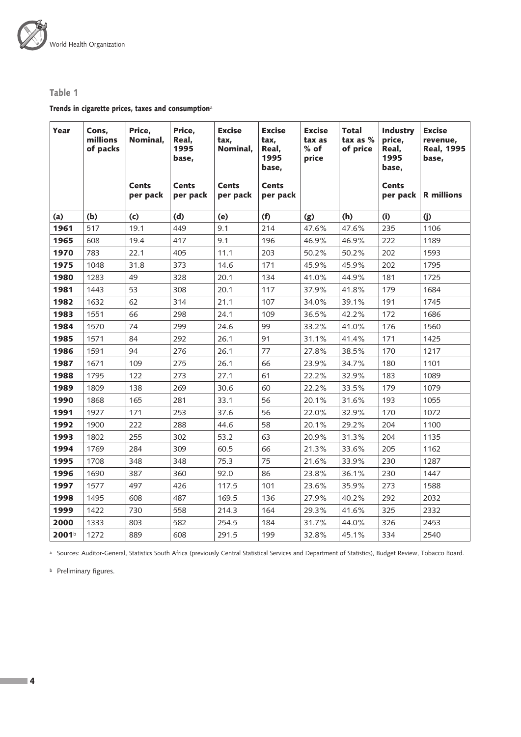

## Table 1

Trends in cigarette prices, taxes and consumption<sup>a</sup>

| Year              | Cons,<br>millions<br>of packs | Price,<br>Nominal,       | Price,<br>Real,<br>1995<br>base, | <b>Excise</b><br>tax,<br>Nominal, | <b>Excise</b><br>tax,<br>Real,<br>1995<br>base, | <b>Excise</b><br>tax as<br>$%$ of<br>price | <b>Total</b><br>tax as %<br>of price | Industry<br>price,<br>Real,<br>1995<br>base, | <b>Excise</b><br>revenue,<br><b>Real, 1995</b><br>base, |
|-------------------|-------------------------------|--------------------------|----------------------------------|-----------------------------------|-------------------------------------------------|--------------------------------------------|--------------------------------------|----------------------------------------------|---------------------------------------------------------|
|                   |                               | <b>Cents</b><br>per pack | <b>Cents</b><br>per pack         | <b>Cents</b><br>per pack          | <b>Cents</b><br>per pack                        |                                            |                                      | Cents<br>per pack $ $                        | <b>R</b> millions                                       |
| (a)               | (b)                           | (c)                      | (d)                              | (e)                               | (f)                                             | (g)                                        | (h)                                  | (i)                                          | (j)                                                     |
| 1961              | 517                           | 19.1                     | 449                              | 9.1                               | 214                                             | 47.6%                                      | 47.6%                                | 235                                          | 1106                                                    |
| 1965              | 608                           | 19.4                     | 417                              | 9.1                               | 196                                             | 46.9%                                      | 46.9%                                | 222                                          | 1189                                                    |
| 1970              | 783                           | 22.1                     | 405                              | 11.1                              | 203                                             | 50.2%                                      | 50.2%                                | 202                                          | 1593                                                    |
| 1975              | 1048                          | 31.8                     | 373                              | 14.6                              | 171                                             | 45.9%                                      | 45.9%                                | 202                                          | 1795                                                    |
| 1980              | 1283                          | 49                       | 328                              | 20.1                              | 134                                             | 41.0%                                      | 44.9%                                | 181                                          | 1725                                                    |
| 1981              | 1443                          | 53                       | 308                              | 20.1                              | 117                                             | 37.9%                                      | 41.8%                                | 179                                          | 1684                                                    |
| 1982              | 1632                          | 62                       | 314                              | 21.1                              | 107                                             | 34.0%                                      | 39.1%                                | 191                                          | 1745                                                    |
| 1983              | 1551                          | 66                       | 298                              | 24.1                              | 109                                             | 36.5%                                      | 42.2%                                | 172                                          | 1686                                                    |
| 1984              | 1570                          | 74                       | 299                              | 24.6                              | 99                                              | 33.2%                                      | 41.0%                                | 176                                          | 1560                                                    |
| 1985              | 1571                          | 84                       | 292                              | 26.1                              | 91                                              | 31.1%                                      | 41.4%                                | 171                                          | 1425                                                    |
| 1986              | 1591                          | 94                       | 276                              | 26.1                              | 77                                              | 27.8%                                      | 38.5%                                | 170                                          | 1217                                                    |
| 1987              | 1671                          | 109                      | 275                              | 26.1                              | 66                                              | 23.9%                                      | 34.7%                                | 180                                          | 1101                                                    |
| 1988              | 1795                          | 122                      | 273                              | 27.1                              | 61                                              | 22.2%                                      | 32.9%                                | 183                                          | 1089                                                    |
| 1989              | 1809                          | 138                      | 269                              | 30.6                              | 60                                              | 22.2%                                      | 33.5%                                | 179                                          | 1079                                                    |
| 1990              | 1868                          | 165                      | 281                              | 33.1                              | 56                                              | 20.1%                                      | 31.6%                                | 193                                          | 1055                                                    |
| 1991              | 1927                          | 171                      | 253                              | 37.6                              | 56                                              | 22.0%                                      | 32.9%                                | 170                                          | 1072                                                    |
| 1992              | 1900                          | 222                      | 288                              | 44.6                              | 58                                              | 20.1%                                      | 29.2%                                | 204                                          | 1100                                                    |
| 1993              | 1802                          | 255                      | 302                              | 53.2                              | 63                                              | 20.9%                                      | 31.3%                                | 204                                          | 1135                                                    |
| 1994              | 1769                          | 284                      | 309                              | 60.5                              | 66                                              | 21.3%                                      | 33.6%                                | 205                                          | 1162                                                    |
| 1995              | 1708                          | 348                      | 348                              | 75.3                              | 75                                              | 21.6%                                      | 33.9%                                | 230                                          | 1287                                                    |
| 1996              | 1690                          | 387                      | 360                              | 92.0                              | 86                                              | 23.8%                                      | 36.1%                                | 230                                          | 1447                                                    |
| 1997              | 1577                          | 497                      | 426                              | 117.5                             | 101                                             | 23.6%                                      | 35.9%                                | 273                                          | 1588                                                    |
| 1998              | 1495                          | 608                      | 487                              | 169.5                             | 136                                             | 27.9%                                      | 40.2%                                | 292                                          | 2032                                                    |
| 1999              | 1422                          | 730                      | 558                              | 214.3                             | 164                                             | 29.3%                                      | 41.6%                                | 325                                          | 2332                                                    |
| 2000              | 1333                          | 803                      | 582                              | 254.5                             | 184                                             | 31.7%                                      | 44.0%                                | 326                                          | 2453                                                    |
| 2001 <sup>b</sup> | 1272                          | 889                      | 608                              | 291.5                             | 199                                             | 32.8%                                      | 45.1%                                | 334                                          | 2540                                                    |

a Sources: Auditor-General, Statistics South Africa (previously Central Statistical Services and Department of Statistics), Budget Review, Tobacco Board.

**b** Preliminary figures.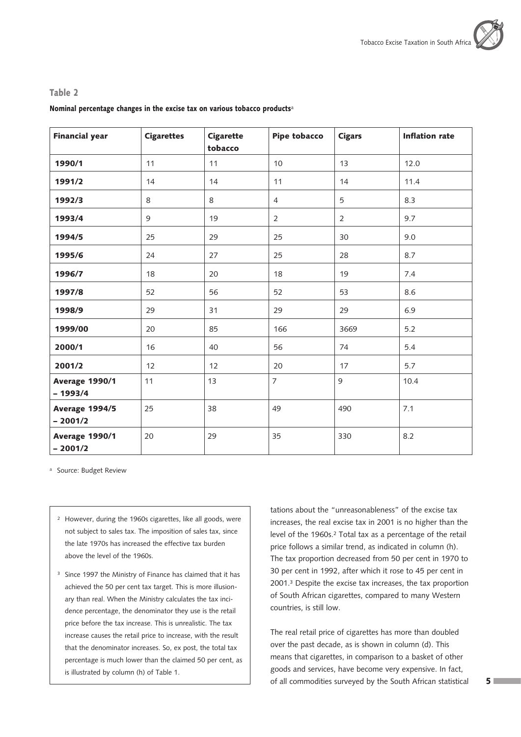#### Table 2

#### Nominal percentage changes in the excise tax on various tobacco products<sup>a</sup>

| <b>Financial year</b>       | <b>Cigarettes</b> | <b>Cigarette</b><br>tobacco | <b>Pipe tobacco</b> | <b>Cigars</b>  | <b>Inflation rate</b> |
|-----------------------------|-------------------|-----------------------------|---------------------|----------------|-----------------------|
| 1990/1                      | 11                | 11                          | 10                  | 13             | 12.0                  |
| 1991/2                      | 14                | 14                          | 11                  | 14             | 11.4                  |
| 1992/3                      | 8                 | 8                           | $\overline{4}$      | 5              | 8.3                   |
| 1993/4                      | 9                 | 19                          | $\overline{2}$      | $\overline{2}$ | 9.7                   |
| 1994/5                      | 25                | 29                          | 25                  | 30             | 9.0                   |
| 1995/6                      | 24                | 27                          | 25                  | 28             | 8.7                   |
| 1996/7                      | 18                | 20                          | 18                  | 19             | 7.4                   |
| 1997/8                      | 52                | 56                          | 52                  | 53             | 8.6                   |
| 1998/9                      | 29                | 31                          | 29                  | 29             | 6.9                   |
| 1999/00                     | 20                | 85                          | 166                 | 3669           | 5.2                   |
| 2000/1                      | 16                | 40                          | 56                  | 74             | 5.4                   |
| 2001/2                      | 12                | 12                          | 20                  | 17             | 5.7                   |
| Average 1990/1<br>$-1993/4$ | 11                | 13                          | $\overline{7}$      | 9              | 10.4                  |
| Average 1994/5<br>$-2001/2$ | 25                | 38                          | 49                  | 490            | 7.1                   |
| Average 1990/1<br>$-2001/2$ | 20                | 29                          | 35                  | 330            | 8.2                   |

a Source: Budget Review

- <sup>2</sup> However, during the 1960s cigarettes, like all goods, were not subject to sales tax. The imposition of sales tax, since the late 1970s has increased the effective tax burden above the level of the 1960s.
- <sup>3</sup> Since 1997 the Ministry of Finance has claimed that it has achieved the 50 per cent tax target. This is more illusionary than real. When the Ministry calculates the tax incidence percentage, the denominator they use is the retail price before the tax increase. This is unrealistic. The tax increase causes the retail price to increase, with the result that the denominator increases. So, ex post, the total tax percentage is much lower than the claimed 50 per cent, as is illustrated by column (h) of Table 1.

tations about the "unreasonableness" of the excise tax increases, the real excise tax in 2001 is no higher than the level of the 1960s.2 Total tax as a percentage of the retail price follows a similar trend, as indicated in column (h). The tax proportion decreased from 50 per cent in 1970 to 30 per cent in 1992, after which it rose to 45 per cent in 2001.3 Despite the excise tax increases, the tax proportion of South African cigarettes, compared to many Western countries, is still low.

The real retail price of cigarettes has more than doubled over the past decade, as is shown in column (d). This means that cigarettes, in comparison to a basket of other goods and services, have become very expensive. In fact, of all commodities surveyed by the South African statistical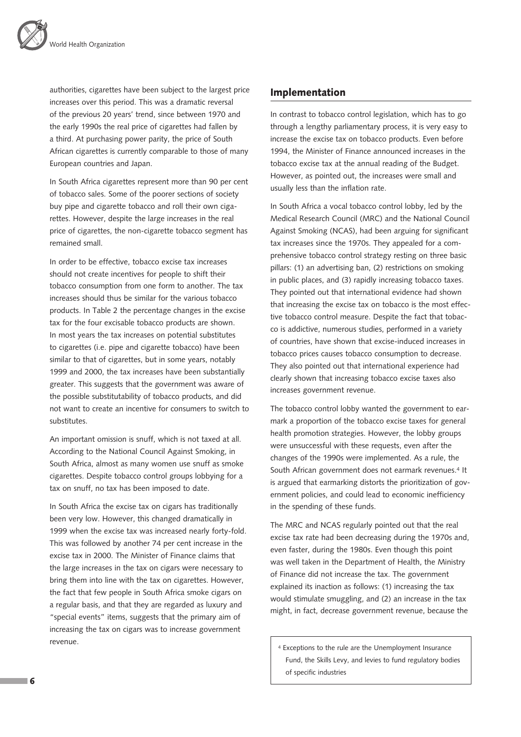authorities, cigarettes have been subject to the largest price increases over this period. This was a dramatic reversal of the previous 20 years' trend, since between 1970 and the early 1990s the real price of cigarettes had fallen by a third. At purchasing power parity, the price of South African cigarettes is currently comparable to those of many European countries and Japan.

In South Africa cigarettes represent more than 90 per cent of tobacco sales. Some of the poorer sections of society buy pipe and cigarette tobacco and roll their own cigarettes. However, despite the large increases in the real price of cigarettes, the non-cigarette tobacco segment has remained small.

In order to be effective, tobacco excise tax increases should not create incentives for people to shift their tobacco consumption from one form to another. The tax increases should thus be similar for the various tobacco products. In Table 2 the percentage changes in the excise tax for the four excisable tobacco products are shown. In most years the tax increases on potential substitutes to cigarettes (i.e. pipe and cigarette tobacco) have been similar to that of cigarettes, but in some years, notably 1999 and 2000, the tax increases have been substantially greater. This suggests that the government was aware of the possible substitutability of tobacco products, and did not want to create an incentive for consumers to switch to substitutes.

An important omission is snuff, which is not taxed at all. According to the National Council Against Smoking, in South Africa, almost as many women use snuff as smoke cigarettes. Despite tobacco control groups lobbying for a tax on snuff, no tax has been imposed to date.

In South Africa the excise tax on cigars has traditionally been very low. However, this changed dramatically in 1999 when the excise tax was increased nearly forty-fold. This was followed by another 74 per cent increase in the excise tax in 2000. The Minister of Finance claims that the large increases in the tax on cigars were necessary to bring them into line with the tax on cigarettes. However, the fact that few people in South Africa smoke cigars on a regular basis, and that they are regarded as luxury and "special events" items, suggests that the primary aim of increasing the tax on cigars was to increase government revenue.

# Implementation

In contrast to tobacco control legislation, which has to go through a lengthy parliamentary process, it is very easy to increase the excise tax on tobacco products. Even before 1994, the Minister of Finance announced increases in the tobacco excise tax at the annual reading of the Budget. However, as pointed out, the increases were small and usually less than the inflation rate.

In South Africa a vocal tobacco control lobby, led by the Medical Research Council (MRC) and the National Council Against Smoking (NCAS), had been arguing for significant tax increases since the 1970s. They appealed for a comprehensive tobacco control strategy resting on three basic pillars: (1) an advertising ban, (2) restrictions on smoking in public places, and (3) rapidly increasing tobacco taxes. They pointed out that international evidence had shown that increasing the excise tax on tobacco is the most effective tobacco control measure. Despite the fact that tobacco is addictive, numerous studies, performed in a variety of countries, have shown that excise-induced increases in tobacco prices causes tobacco consumption to decrease. They also pointed out that international experience had clearly shown that increasing tobacco excise taxes also increases government revenue.

The tobacco control lobby wanted the government to earmark a proportion of the tobacco excise taxes for general health promotion strategies. However, the lobby groups were unsuccessful with these requests, even after the changes of the 1990s were implemented. As a rule, the South African government does not earmark revenues.4 It is argued that earmarking distorts the prioritization of government policies, and could lead to economic inefficiency in the spending of these funds.

The MRC and NCAS regularly pointed out that the real excise tax rate had been decreasing during the 1970s and, even faster, during the 1980s. Even though this point was well taken in the Department of Health, the Ministry of Finance did not increase the tax. The government explained its inaction as follows: (1) increasing the tax would stimulate smuggling, and (2) an increase in the tax might, in fact, decrease government revenue, because the

4 Exceptions to the rule are the Unemployment Insurance Fund, the Skills Levy, and levies to fund regulatory bodies of specific industries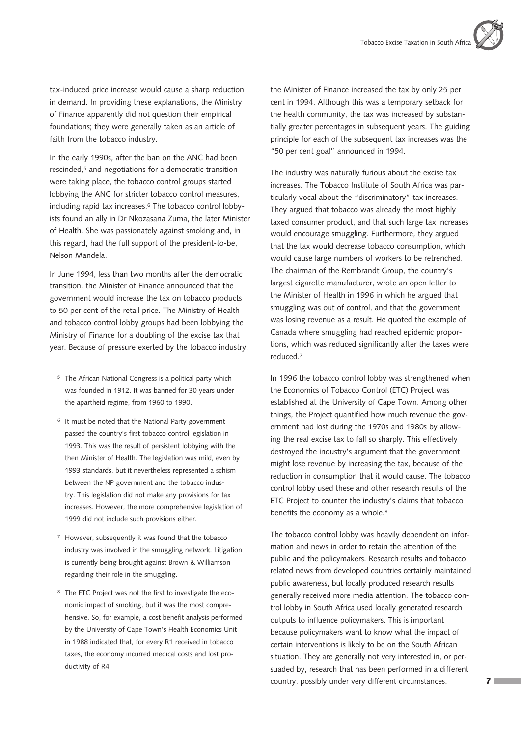tax-induced price increase would cause a sharp reduction in demand. In providing these explanations, the Ministry of Finance apparently did not question their empirical foundations; they were generally taken as an article of faith from the tobacco industry.

In the early 1990s, after the ban on the ANC had been rescinded,5 and negotiations for a democratic transition were taking place, the tobacco control groups started lobbying the ANC for stricter tobacco control measures, including rapid tax increases.<sup>6</sup> The tobacco control lobbyists found an ally in Dr Nkozasana Zuma, the later Minister of Health. She was passionately against smoking and, in this regard, had the full support of the president-to-be, Nelson Mandela.

In June 1994, less than two months after the democratic transition, the Minister of Finance announced that the government would increase the tax on tobacco products to 50 per cent of the retail price. The Ministry of Health and tobacco control lobby groups had been lobbying the Ministry of Finance for a doubling of the excise tax that year. Because of pressure exerted by the tobacco industry,

- <sup>5</sup> The African National Congress is a political party which was founded in 1912. It was banned for 30 years under the apartheid regime, from 1960 to 1990.
- <sup>6</sup> It must be noted that the National Party government passed the country's first tobacco control legislation in 1993. This was the result of persistent lobbying with the then Minister of Health. The legislation was mild, even by 1993 standards, but it nevertheless represented a schism between the NP government and the tobacco industry. This legislation did not make any provisions for tax increases. However, the more comprehensive legislation of 1999 did not include such provisions either.
- <sup>7</sup> However, subsequently it was found that the tobacco industry was involved in the smuggling network. Litigation is currently being brought against Brown & Williamson regarding their role in the smuggling.
- <sup>8</sup> The ETC Project was not the first to investigate the economic impact of smoking, but it was the most comprehensive. So, for example, a cost benefit analysis performed by the University of Cape Town's Health Economics Unit in 1988 indicated that, for every R1 received in tobacco taxes, the economy incurred medical costs and lost productivity of R4.

the Minister of Finance increased the tax by only 25 per cent in 1994. Although this was a temporary setback for the health community, the tax was increased by substantially greater percentages in subsequent years. The guiding principle for each of the subsequent tax increases was the "50 per cent goal" announced in 1994.

The industry was naturally furious about the excise tax increases. The Tobacco Institute of South Africa was particularly vocal about the "discriminatory" tax increases. They argued that tobacco was already the most highly taxed consumer product, and that such large tax increases would encourage smuggling. Furthermore, they argued that the tax would decrease tobacco consumption, which would cause large numbers of workers to be retrenched. The chairman of the Rembrandt Group, the country's largest cigarette manufacturer, wrote an open letter to the Minister of Health in 1996 in which he argued that smuggling was out of control, and that the government was losing revenue as a result. He quoted the example of Canada where smuggling had reached epidemic proportions, which was reduced significantly after the taxes were reduced.7

In 1996 the tobacco control lobby was strengthened when the Economics of Tobacco Control (ETC) Project was established at the University of Cape Town. Among other things, the Project quantified how much revenue the government had lost during the 1970s and 1980s by allowing the real excise tax to fall so sharply. This effectively destroyed the industry's argument that the government might lose revenue by increasing the tax, because of the reduction in consumption that it would cause. The tobacco control lobby used these and other research results of the ETC Project to counter the industry's claims that tobacco benefits the economy as a whole.<sup>8</sup>

The tobacco control lobby was heavily dependent on information and news in order to retain the attention of the public and the policymakers. Research results and tobacco related news from developed countries certainly maintained public awareness, but locally produced research results generally received more media attention. The tobacco control lobby in South Africa used locally generated research outputs to influence policymakers. This is important because policymakers want to know what the impact of certain interventions is likely to be on the South African situation. They are generally not very interested in, or persuaded by, research that has been performed in a different country, possibly under very different circumstances.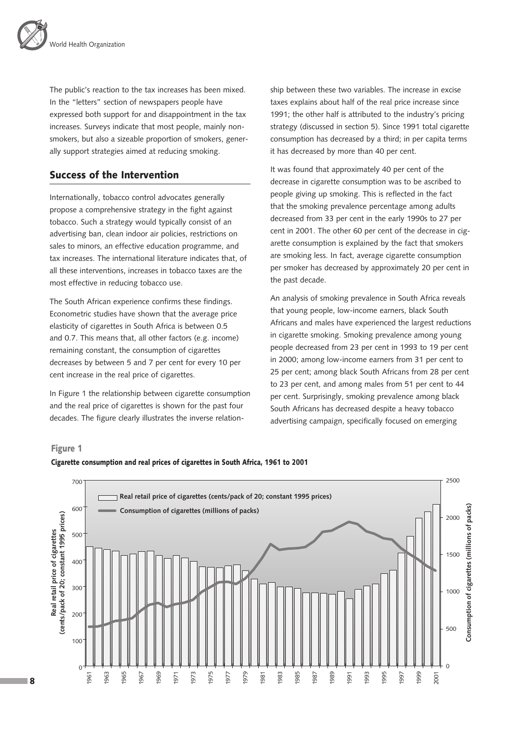The public's reaction to the tax increases has been mixed. In the "letters" section of newspapers people have expressed both support for and disappointment in the tax increases. Surveys indicate that most people, mainly nonsmokers, but also a sizeable proportion of smokers, generally support strategies aimed at reducing smoking.

# Success of the Intervention

Internationally, tobacco control advocates generally propose a comprehensive strategy in the fight against tobacco. Such a strategy would typically consist of an advertising ban, clean indoor air policies, restrictions on sales to minors, an effective education programme, and tax increases. The international literature indicates that, of all these interventions, increases in tobacco taxes are the most effective in reducing tobacco use.

The South African experience confirms these findings. Econometric studies have shown that the average price elasticity of cigarettes in South Africa is between 0.5 and 0.7. This means that, all other factors (e.g. income) remaining constant, the consumption of cigarettes decreases by between 5 and 7 per cent for every 10 per cent increase in the real price of cigarettes.

In Figure 1 the relationship between cigarette consumption and the real price of cigarettes is shown for the past four decades. The figure clearly illustrates the inverse relation-

ship between these two variables. The increase in excise taxes explains about half of the real price increase since 1991; the other half is attributed to the industry's pricing strategy (discussed in section 5). Since 1991 total cigarette consumption has decreased by a third; in per capita terms it has decreased by more than 40 per cent.

It was found that approximately 40 per cent of the decrease in cigarette consumption was to be ascribed to people giving up smoking. This is reflected in the fact that the smoking prevalence percentage among adults decreased from 33 per cent in the early 1990s to 27 per cent in 2001. The other 60 per cent of the decrease in cigarette consumption is explained by the fact that smokers are smoking less. In fact, average cigarette consumption per smoker has decreased by approximately 20 per cent in the past decade.

An analysis of smoking prevalence in South Africa reveals that young people, low-income earners, black South Africans and males have experienced the largest reductions in cigarette smoking. Smoking prevalence among young people decreased from 23 per cent in 1993 to 19 per cent in 2000; among low-income earners from 31 per cent to 25 per cent; among black South Africans from 28 per cent to 23 per cent, and among males from 51 per cent to 44 per cent. Surprisingly, smoking prevalence among black South Africans has decreased despite a heavy tobacco advertising campaign, specifically focused on emerging

#### Figure 1



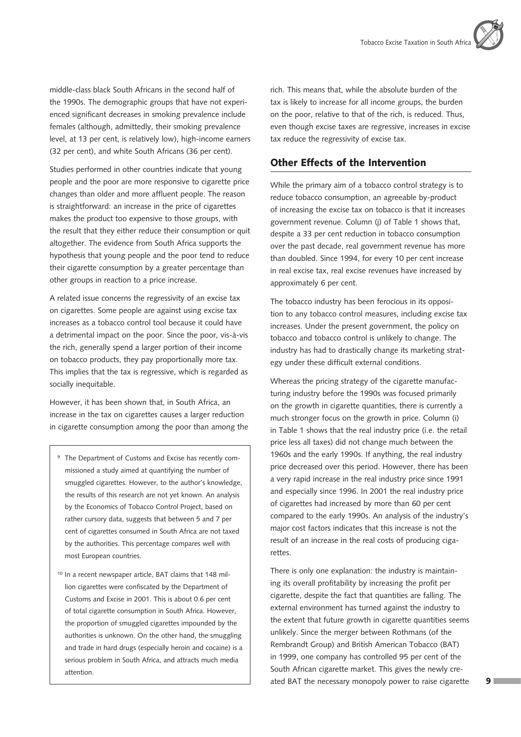middle-class black South Africans in the second half of the 1990s. The demographic groups that have not experienced significant decreases in smoking prevalence include females (although, admittedly, their smoking prevalence level, at 13 per cent, is relatively low), high-income earners (32 per cent), and white South Africans (36 per cent).

Studies performed in other countries indicate that young people and the poor are more responsive to cigarette price changes than older and more affluent people. The reason is straightforward: an increase in the price of cigarettes makes the product too expensive to those groups, with the result that they either reduce their consumption or quit altogether. The evidence from South Africa supports the hypothesis that young people and the poor tend to reduce their cigarette consumption by a greater percentage than other groups in reaction to a price increase.

A related issue concerns the regressivity of an excise tax on cigarettes. Some people are against using excise tax increases as a tobacco control tool because it could have a detrimental impact on the poor. Since the poor, vis-à-vis the rich, generally spend a larger portion of their income on tobacco products, they pay proportionally more tax. This implies that the tax is regressive, which is regarded as socially inequitable.

However, it has been shown that, in South Africa, an increase in the tax on cigarettes causes a larger reduction in cigarette consumption among the poor than among the

- <sup>9</sup> The Department of Customs and Excise has recently commissioned a study aimed at quantifying the number of smuggled cigarettes. However, to the author's knowledge, the results of this research are not yet known. An analysis by the Economics of Tobacco Control Project, based on rather cursory data, suggests that between 5 and 7 per cent of cigarettes consumed in South Africa are not taxed by the authorities. This percentage compares well with most European countries.
- 10 In a recent newspaper article, BAT claims that 148 million cigarettes were confiscated by the Department of Customs and Excise in 2001. This is about 0.6 per cent of total cigarette consumption in South Africa. However, the proportion of smuggled cigarettes impounded by the authorities is unknown. On the other hand, the smuggling and trade in hard drugs (especially heroin and cocaine) is a serious problem in South Africa, and attracts much media attention.

rich. This means that, while the absolute burden of the tax is likely to increase for all income groups, the burden on the poor, relative to that of the rich, is reduced. Thus, even though excise taxes are regressive, increases in excise tax reduce the regressivity of excise tax.

# Other Effects of the Intervention

While the primary aim of a tobacco control strategy is to reduce tobacco consumption, an agreeable by-product of increasing the excise tax on tobacco is that it increases government revenue. Column (j) of Table 1 shows that, despite a 33 per cent reduction in tobacco consumption over the past decade, real government revenue has more than doubled. Since 1994, for every 10 per cent increase in real excise tax, real excise revenues have increased by approximately 6 per cent.

The tobacco industry has been ferocious in its opposition to any tobacco control measures, including excise tax increases. Under the present government, the policy on tobacco and tobacco control is unlikely to change. The industry has had to drastically change its marketing strategy under these difficult external conditions.

Whereas the pricing strategy of the cigarette manufacturing industry before the 1990s was focused primarily on the growth in cigarette quantities, there is currently a much stronger focus on the growth in price. Column (i) in Table 1 shows that the real industry price (i.e. the retail price less all taxes) did not change much between the 1960s and the early 1990s. If anything, the real industry price decreased over this period. However, there has been a very rapid increase in the real industry price since 1991 and especially since 1996. In 2001 the real industry price of cigarettes had increased by more than 60 per cent compared to the early 1990s. An analysis of the industry's major cost factors indicates that this increase is not the result of an increase in the real costs of producing cigarettes.

There is only one explanation: the industry is maintaining its overall profitability by increasing the profit per cigarette, despite the fact that quantities are falling. The external environment has turned against the industry to the extent that future growth in cigarette quantities seems unlikely. Since the merger between Rothmans (of the Rembrandt Group) and British American Tobacco (BAT) in 1999, one company has controlled 95 per cent of the South African cigarette market. This gives the newly created BAT the necessary monopoly power to raise cigarette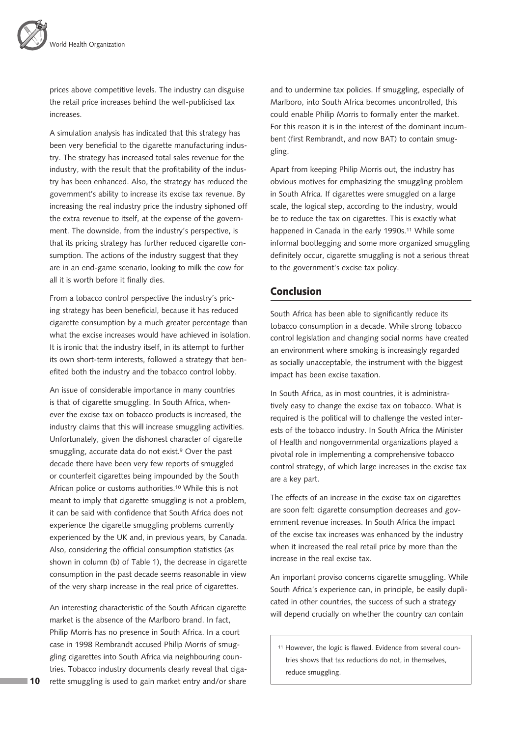prices above competitive levels. The industry can disguise the retail price increases behind the well-publicised tax increases.

A simulation analysis has indicated that this strategy has been very beneficial to the cigarette manufacturing industry. The strategy has increased total sales revenue for the industry, with the result that the profitability of the industry has been enhanced. Also, the strategy has reduced the government's ability to increase its excise tax revenue. By increasing the real industry price the industry siphoned off the extra revenue to itself, at the expense of the government. The downside, from the industry's perspective, is that its pricing strategy has further reduced cigarette consumption. The actions of the industry suggest that they are in an end-game scenario, looking to milk the cow for all it is worth before it finally dies.

From a tobacco control perspective the industry's pricing strategy has been beneficial, because it has reduced cigarette consumption by a much greater percentage than what the excise increases would have achieved in isolation. It is ironic that the industry itself, in its attempt to further its own short-term interests, followed a strategy that benefited both the industry and the tobacco control lobby.

An issue of considerable importance in many countries is that of cigarette smuggling. In South Africa, whenever the excise tax on tobacco products is increased, the industry claims that this will increase smuggling activities. Unfortunately, given the dishonest character of cigarette smuggling, accurate data do not exist.9 Over the past decade there have been very few reports of smuggled or counterfeit cigarettes being impounded by the South African police or customs authorities.10 While this is not meant to imply that cigarette smuggling is not a problem, it can be said with confidence that South Africa does not experience the cigarette smuggling problems currently experienced by the UK and, in previous years, by Canada. Also, considering the official consumption statistics (as shown in column (b) of Table 1), the decrease in cigarette consumption in the past decade seems reasonable in view of the very sharp increase in the real price of cigarettes.

An interesting characteristic of the South African cigarette market is the absence of the Marlboro brand. In fact, Philip Morris has no presence in South Africa. In a court case in 1998 Rembrandt accused Philip Morris of smuggling cigarettes into South Africa via neighbouring countries. Tobacco industry documents clearly reveal that cigarette smuggling is used to gain market entry and/or share

and to undermine tax policies. If smuggling, especially of Marlboro, into South Africa becomes uncontrolled, this could enable Philip Morris to formally enter the market. For this reason it is in the interest of the dominant incumbent (first Rembrandt, and now BAT) to contain smuggling.

Apart from keeping Philip Morris out, the industry has obvious motives for emphasizing the smuggling problem in South Africa. If cigarettes were smuggled on a large scale, the logical step, according to the industry, would be to reduce the tax on cigarettes. This is exactly what happened in Canada in the early 1990s.<sup>11</sup> While some informal bootlegging and some more organized smuggling definitely occur, cigarette smuggling is not a serious threat to the government's excise tax policy.

# Conclusion

South Africa has been able to significantly reduce its tobacco consumption in a decade. While strong tobacco control legislation and changing social norms have created an environment where smoking is increasingly regarded as socially unacceptable, the instrument with the biggest impact has been excise taxation.

In South Africa, as in most countries, it is administratively easy to change the excise tax on tobacco. What is required is the political will to challenge the vested interests of the tobacco industry. In South Africa the Minister of Health and nongovernmental organizations played a pivotal role in implementing a comprehensive tobacco control strategy, of which large increases in the excise tax are a key part.

The effects of an increase in the excise tax on cigarettes are soon felt: cigarette consumption decreases and government revenue increases. In South Africa the impact of the excise tax increases was enhanced by the industry when it increased the real retail price by more than the increase in the real excise tax.

An important proviso concerns cigarette smuggling. While South Africa's experience can, in principle, be easily duplicated in other countries, the success of such a strategy will depend crucially on whether the country can contain

11 However, the logic is flawed. Evidence from several countries shows that tax reductions do not, in themselves, reduce smuggling.